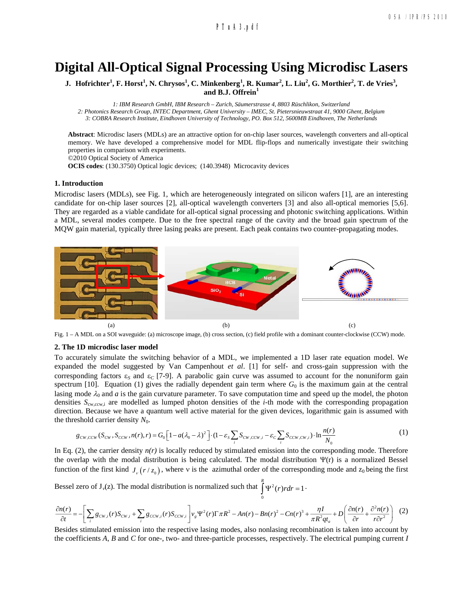# **Digital All-Optical Signal Processing Using Microdisc Lasers**

J. Hofrichter<sup>1</sup>, F. Horst<sup>1</sup>, N. Chrysos<sup>1</sup>, C. Minkenberg<sup>1</sup>, R. Kumar<sup>2</sup>, L. Liu<sup>2</sup>, G. Morthier<sup>2</sup>, T. de Vries<sup>3</sup>, **and B.J. Offrein<sup>1</sup>**

*1: IBM Research GmbH, IBM Research – Zurich, Säumerstrasse 4, 8803 Rüschlikon, Switzerland*

*2: Photonics Research Group, INTEC Department, Ghent University – IMEC, St. Pietersnieuwstraat 41, 9000 Ghent, Belgium*

*3: COBRA Research Institute, Eindhoven University of Technology, PO. Box 512, 5600MB Eindhoven, The Netherlands*

**Abstract**: Microdisc lasers (MDLs) are an attractive option for on-chip laser sources, wavelength converters and all-optical memory. We have developed a comprehensive model for MDL flip-flops and numerically investigate their switching properties in comparison with experiments.

©2010 Optical Society of America

**OCIS codes**: (130.3750) Optical logic devices; (140.3948) Microcavity devices

### **1. Introduction**

Microdisc lasers (MDLs), see Fig. 1, which are heterogeneously integrated on silicon wafers [1], are an interesting candidate for on-chip laser sources [2], all-optical wavelength converters [3] and also all-optical memories [5,6]. They are regarded as a viable candidate for all-optical signal processing and photonic switching applications. Within a MDL, several modes compete. Due to the free spectral range of the cavity and the broad gain spectrum of the MQW gain material, typically three lasing peaks are present. Each peak contains two counter-propagating modes.



Fig. 1 – A MDL on a SOI waveguide: (a) microscope image, (b) cross section, (c) field profile with a dominant counter-clockwise (CCW) mode.

#### **2. The 1D microdisc laser model**

To accurately simulate the switching behavior of a MDL, we implemented a 1D laser rate equation model. We expanded the model suggested by Van Campenhout *et al*. [1] for self- and cross-gain suppression with the corresponding factors  $\varepsilon_s$  and  $\varepsilon_c$  [7-9]. A parabolic gain curve was assumed to account for the nonuniform gain spectrum [10]. Equation (1) gives the radially dependent gain term where  $G_0$  is the maximum gain at the central lasing mode  $\lambda_0$  and *a* is the gain curvature parameter. To save computation time and speed up the model, the photon densities *S*cw,ccw,i are modelled as lumped photon densities of the *i*-th mode with the corresponding propagation direction. Because we have a quantum well active material for the given devices, logarithmic gain is assumed with the threshold carrier density  $N_0$ .

$$
g_{cw,ccw}(S_{cw}, S_{ccw}, n(r), r) = G_0 \Big[ 1 - a(\lambda_0 - \lambda)^2 \Big] \cdot (1 - \varepsilon_s \sum_i S_{cw,ccw,i} - \varepsilon_c \sum_i S_{ccw,cw,i}) \cdot \ln \frac{n(r)}{N_0} \tag{1}
$$

In Eq. (2), the carrier density  $n(r)$  is locally reduced by stimulated emission into the corresponding mode. Therefore the overlap with the modal distribution is being calculated. The modal distribution  $\Psi(r)$  is a normalized Bessel function of the first kind  $J_{\nu}(r / z_0)$ , where v is the azimuthal order of the corresponding mode and  $z_0$  being the first

Bessel zero of  $J_v(z)$ . The modal distribution is normalized such that  $\int \psi^2(r) r dr = 1$ 0  $\int^R \Psi^2(r) r dr = 1$ .

$$
\frac{\partial n(r)}{\partial t} = -\left[\sum_{i} g_{cw,i}(r)S_{cw,i} + \sum_{i} g_{ccw,i}(r)S_{ccw,i}\right]v_{g}\Psi^{2}(r)\Gamma\pi R^{2} - An(r) - Bn(r)^{2} - Cn(r)^{3} + \frac{\eta I}{\pi R^{2}q t_{a}} + D\left(\frac{\partial n(r)}{\partial r} + \frac{\partial^{2}n(r)}{r\partial r^{2}}\right) \tag{2}
$$

Besides stimulated emission into the respective lasing modes, also nonlasing recombination is taken into account by the coefficients *A*, *B* and *C* for one-, two- and three-particle processes, respectively. The electrical pumping current *I*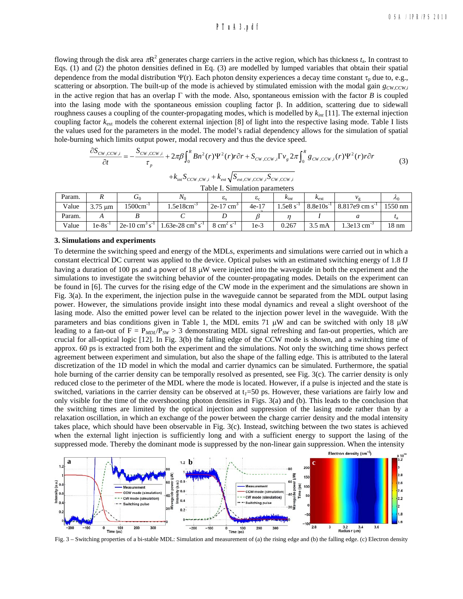## **a161\_1.pdf PTuA3.pdf**

flowing through the disk area  $\pi R^2$  generates charge carriers in the active region, which has thickness  $t_a$ . In contrast to Eqs. (1) and (2) the photon densities defined in Eq. (3) are modelled by lumped variables that obtain their spatial dependence from the modal distribution  $\Psi(r)$ . Each photon density experiences a decay time constant  $\tau_p$  due to, e.g., scattering or absorption. The built-up of the mode is achieved by stimulated emission with the modal gain  $g_{CW,CCW,i}$ in the active region that has an overlap  $\Gamma$  with the mode. Also, spontaneous emission with the factor *B* is coupled into the lasing mode with the spontaneous emission coupling factor  $\beta$ . In addition, scattering due to sidewall roughness causes a coupling of the counter-propagating modes, which is modelled by  $k_{int}$  [11]. The external injection coupling factor  $k_{\text{ext}}$  models the coherent external injection [8] of light into the respective lasing mode. Table I lists the values used for the parameters in the model. The model's radial dependency allows for the simulation of spatial hole-burning which limits output power, modal recovery and thus the device speed.

$$
\frac{\partial S_{CW,CCW,i}}{\partial t} = -\frac{S_{CW,CCW,i}}{\tau_p} + 2\pi\beta \int_0^R B n^2(r) \Psi^2(r) r \partial r + S_{CW,CCW,i} \Gamma v_g 2\pi \int_0^R g_{CW,CCW,i}(r) \Psi^2(r) r \partial r \tag{3}
$$

$$
+k_{\rm int}S_{CCW,CW,i}+k_{ext}\sqrt{S_{ext,CW,CCW,i}S_{CW,CCW,i}}
$$

| Table I. Simulation parameters |  |
|--------------------------------|--|
|--------------------------------|--|

| Param. |              | $\mathbf{U}_0$                         | $N_0$                                    |                            | $\mathbf{c}_c$ | $\kappa_{int}$ | $\kappa_{\rm ext}$ | Иα                    | $\lambda_0$     |
|--------|--------------|----------------------------------------|------------------------------------------|----------------------------|----------------|----------------|--------------------|-----------------------|-----------------|
| Value  | $3.75 \mu m$ | 1500cm                                 | .5e18cm                                  | $2e-17$ cm <sup>3</sup>    | $4e-17$        | .5e8s          | $8.8e10s^{-1}$     | 8.817e9 cm s          | $1550$ nm       |
| Param. |              |                                        |                                          |                            |                |                |                    |                       |                 |
| Value  | $1e-8s$      | $2e-10$ cm <sup>3</sup> s <sup>-</sup> | .63e-28 cm $\mathrm{^{\circ} s^{\cdot}}$ | $8 \text{ cm}^2 \text{ s}$ | 1e-3           | 0.267          | 3.5 mA             | 3e13 cm <sup>-3</sup> | $18 \text{ nm}$ |

### **3. Simulations and experiments**

To determine the switching speed and energy of the MDLs, experiments and simulations were carried out in which a constant electrical DC current was applied to the device. Optical pulses with an estimated switching energy of 1.8 fJ having a duration of 100 ps and a power of 18  $\mu$ W were injected into the waveguide in both the experiment and the simulations to investigate the switching behavior of the counter-propagating modes. Details on the experiment can be found in [6]. The curves for the rising edge of the CW mode in the experiment and the simulations are shown in Fig. 3(a). In the experiment, the injection pulse in the waveguide cannot be separated from the MDL output lasing power. However, the simulations provide insight into these modal dynamics and reveal a slight overshoot of the lasing mode. Also the emitted power level can be related to the injection power level in the waveguide. With the parameters and bias conditions given in Table 1, the MDL emits 71  $\mu$ W and can be switched with only 18  $\mu$ W leading to a fan-out of  $F = P_{MD}/P_{SW} > 3$  demonstrating MDL signal refreshing and fan-out properties, which are crucial for all-optical logic [12]. In Fig. 3(b) the falling edge of the CCW mode is shown, and a switching time of approx. 60 ps is extracted from both the experiment and the simulations. Not only the switching time shows perfect agreement between experiment and simulation, but also the shape of the falling edge. This is attributed to the lateral discretization of the 1D model in which the modal and carrier dynamics can be simulated. Furthermore, the spatial hole burning of the carrier density can be temporally resolved as presented, see Fig. 3(c). The carrier density is only reduced close to the perimeter of the MDL where the mode is located. However, if a pulse is injected and the state is switched, variations in the carrier density can be observed at  $t_1 = 50$  ps. However, these variations are fairly low and only visible for the time of the overshooting photon densities in Figs. 3(a) and (b). This leads to the conclusion that the switching times are limited by the optical injection and suppression of the lasing mode rather than by a relaxation oscillation, in which an exchange of the power between the charge carrier density and the modal intensity takes place, which should have been observable in Fig. 3(c). Instead, switching between the two states is achieved when the external light injection is sufficiently long and with a sufficient energy to support the lasing of the suppressed mode. Thereby the dominant mode is suppressed by the non-linear gain suppression. When the intensity



Fig. 3 – Switching properties of a bi-stable MDL: Simulation and measurement of (a) the rising edge and (b) the falling edge. (c) Electron density